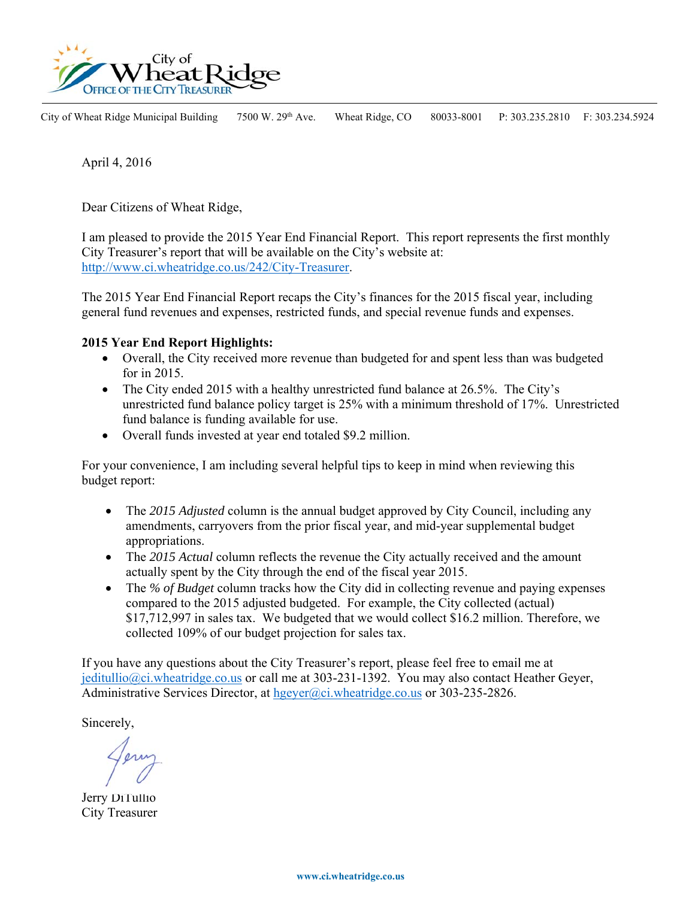

City of Wheat Ridge Municipal Building 7500 W. 29<sup>th</sup> Ave. Wheat Ridge, CO 80033-8001 P: 303.235.2810 F: 303.234.5924

April 4, 2016

Dear Citizens of Wheat Ridge,

I am pleased to provide the 2015 Year End Financial Report. This report represents the first monthly City Treasurer's report that will be available on the City's website at: http://www.ci.wheatridge.co.us/242/City-Treasurer.

The 2015 Year End Financial Report recaps the City's finances for the 2015 fiscal year, including general fund revenues and expenses, restricted funds, and special revenue funds and expenses.

### **2015 Year End Report Highlights:**

- Overall, the City received more revenue than budgeted for and spent less than was budgeted for in 2015.
- The City ended 2015 with a healthy unrestricted fund balance at 26.5%. The City's unrestricted fund balance policy target is 25% with a minimum threshold of 17%. Unrestricted fund balance is funding available for use.
- Overall funds invested at year end totaled \$9.2 million.

For your convenience, I am including several helpful tips to keep in mind when reviewing this budget report:

- The 2015 Adjusted column is the annual budget approved by City Council, including any amendments, carryovers from the prior fiscal year, and mid-year supplemental budget appropriations.
- The 2015 Actual column reflects the revenue the City actually received and the amount actually spent by the City through the end of the fiscal year 2015.
- The *% of Budget* column tracks how the City did in collecting revenue and paying expenses compared to the 2015 adjusted budgeted. For example, the City collected (actual) \$17,712,997 in sales tax. We budgeted that we would collect \$16.2 million. Therefore, we collected 109% of our budget projection for sales tax.

If you have any questions about the City Treasurer's report, please feel free to email me at jeditullio@ci.wheatridge.co.us or call me at 303-231-1392. You may also contact Heather Geyer, Administrative Services Director, at hgeyer@ci.wheatridge.co.us or 303-235-2826.

Sincerely,

Jerry DiTullio City Treasurer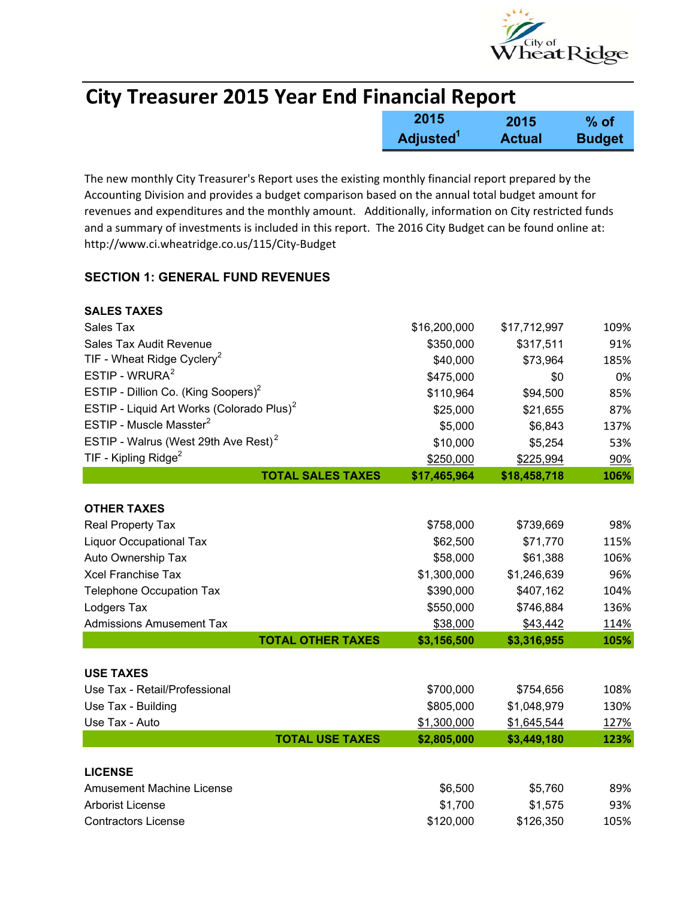

| <b>City Treasurer 2015 Year End Financial Report</b> |                              |               |               |
|------------------------------------------------------|------------------------------|---------------|---------------|
|                                                      | 2015                         | 2015          | $%$ of        |
|                                                      | <b>Adjusted</b> <sup>1</sup> | <b>Actual</b> | <b>Budget</b> |

The new monthly City Treasurer's Report uses the existing monthly financial report prepared by the Accounting Division and provides a budget comparison based on the annual total budget amount for revenues and expenditures and the monthly amount. Additionally, information on City restricted funds and a summary of investments is included in this report. The 2016 City Budget can be found online at: http://www.ci.wheatridge.co.us/115/City‐Budget

### **SECTION 1: GENERAL FUND REVENUES**

| <b>SALES TAXES</b>                                    |              |              |      |
|-------------------------------------------------------|--------------|--------------|------|
| Sales Tax                                             | \$16,200,000 | \$17,712,997 | 109% |
| Sales Tax Audit Revenue                               | \$350,000    | \$317,511    | 91%  |
| TIF - Wheat Ridge Cyclery <sup>2</sup>                | \$40,000     | \$73,964     | 185% |
| ESTIP - WRURA $2$                                     | \$475,000    | \$0          | 0%   |
| ESTIP - Dillion Co. (King Soopers) <sup>2</sup>       | \$110,964    | \$94,500     | 85%  |
| ESTIP - Liquid Art Works (Colorado Plus) <sup>2</sup> | \$25,000     | \$21,655     | 87%  |
| ESTIP - Muscle Masster <sup>2</sup>                   | \$5,000      | \$6,843      | 137% |
| ESTIP - Walrus (West 29th Ave Rest) <sup>2</sup>      | \$10,000     | \$5,254      | 53%  |
| TIF - Kipling Ridge <sup>2</sup>                      | \$250,000    | \$225,994    | 90%  |
| <b>TOTAL SALES TAXES</b>                              | \$17,465,964 | \$18,458,718 | 106% |
|                                                       |              |              |      |
| <b>OTHER TAXES</b>                                    |              |              |      |
| Real Property Tax                                     | \$758,000    | \$739,669    | 98%  |
| <b>Liquor Occupational Tax</b>                        | \$62,500     | \$71,770     | 115% |
| Auto Ownership Tax                                    | \$58,000     | \$61,388     | 106% |
| <b>Xcel Franchise Tax</b>                             | \$1,300,000  | \$1,246,639  | 96%  |
| <b>Telephone Occupation Tax</b>                       | \$390,000    | \$407,162    | 104% |
| Lodgers Tax                                           | \$550,000    | \$746,884    | 136% |
| <b>Admissions Amusement Tax</b>                       | \$38,000     | \$43,442     | 114% |
| <b>TOTAL OTHER TAXES</b>                              | \$3,156,500  | \$3,316,955  | 105% |
| <b>USE TAXES</b>                                      |              |              |      |
| Use Tax - Retail/Professional                         | \$700,000    | \$754,656    | 108% |
| Use Tax - Building                                    | \$805,000    | \$1,048,979  | 130% |
| Use Tax - Auto                                        | \$1,300,000  | \$1,645,544  | 127% |
| <b>TOTAL USE TAXES</b>                                | \$2,805,000  | \$3,449,180  | 123% |
|                                                       |              |              |      |
| <b>LICENSE</b>                                        |              |              |      |
| <b>Amusement Machine License</b>                      | \$6,500      | \$5,760      | 89%  |
| <b>Arborist License</b>                               | \$1,700      | \$1,575      | 93%  |
| <b>Contractors License</b>                            | \$120,000    | \$126,350    | 105% |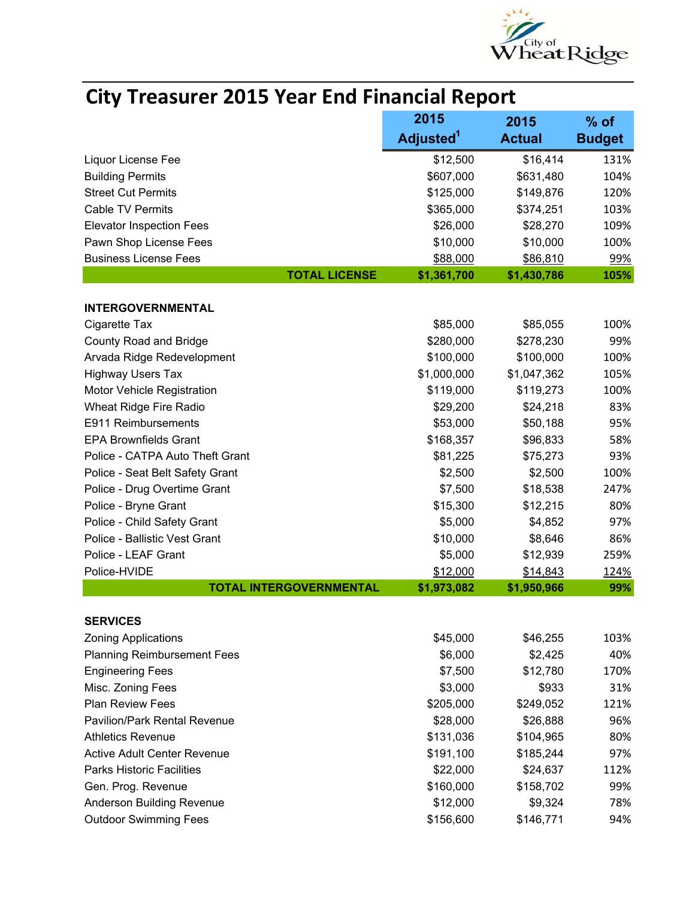

|                                    | 2015                  | 2015          | $%$ of        |
|------------------------------------|-----------------------|---------------|---------------|
|                                    | Adjusted <sup>1</sup> | <b>Actual</b> | <b>Budget</b> |
| Liquor License Fee                 | \$12,500              | \$16,414      | 131%          |
| <b>Building Permits</b>            | \$607,000             | \$631,480     | 104%          |
| <b>Street Cut Permits</b>          | \$125,000             | \$149,876     | 120%          |
| <b>Cable TV Permits</b>            | \$365,000             | \$374,251     | 103%          |
| <b>Elevator Inspection Fees</b>    | \$26,000              | \$28,270      | 109%          |
| Pawn Shop License Fees             | \$10,000              | \$10,000      | 100%          |
| <b>Business License Fees</b>       | \$88,000              | \$86,810      | 99%           |
| <b>TOTAL LICENSE</b>               | \$1,361,700           | \$1,430,786   | 105%          |
| <b>INTERGOVERNMENTAL</b>           |                       |               |               |
| Cigarette Tax                      | \$85,000              | \$85,055      | 100%          |
| <b>County Road and Bridge</b>      | \$280,000             | \$278,230     | 99%           |
| Arvada Ridge Redevelopment         | \$100,000             | \$100,000     | 100%          |
| <b>Highway Users Tax</b>           | \$1,000,000           | \$1,047,362   | 105%          |
| Motor Vehicle Registration         | \$119,000             | \$119,273     | 100%          |
| Wheat Ridge Fire Radio             | \$29,200              | \$24,218      | 83%           |
| E911 Reimbursements                | \$53,000              | \$50,188      | 95%           |
| <b>EPA Brownfields Grant</b>       | \$168,357             | \$96,833      | 58%           |
| Police - CATPA Auto Theft Grant    | \$81,225              | \$75,273      | 93%           |
| Police - Seat Belt Safety Grant    | \$2,500               | \$2,500       | 100%          |
| Police - Drug Overtime Grant       | \$7,500               | \$18,538      | 247%          |
| Police - Bryne Grant               | \$15,300              | \$12,215      | 80%           |
| Police - Child Safety Grant        | \$5,000               | \$4,852       | 97%           |
| Police - Ballistic Vest Grant      | \$10,000              | \$8,646       | 86%           |
| Police - LEAF Grant                | \$5,000               | \$12,939      | 259%          |
| Police-HVIDE                       | \$12,000              | \$14,843      | 124%          |
| <b>TOTAL INTERGOVERNMENTAL</b>     | \$1,973,082           | \$1,950,966   | 99%           |
| <b>SERVICES</b>                    |                       |               |               |
| <b>Zoning Applications</b>         | \$45,000              | \$46,255      | 103%          |
| <b>Planning Reimbursement Fees</b> | \$6,000               | \$2,425       | 40%           |
| <b>Engineering Fees</b>            | \$7,500               | \$12,780      | 170%          |
| Misc. Zoning Fees                  | \$3,000               | \$933         | 31%           |
| <b>Plan Review Fees</b>            | \$205,000             | \$249,052     | 121%          |
| Pavilion/Park Rental Revenue       | \$28,000              | \$26,888      | 96%           |
| <b>Athletics Revenue</b>           | \$131,036             | \$104,965     | 80%           |
| Active Adult Center Revenue        | \$191,100             | \$185,244     | 97%           |
| <b>Parks Historic Facilities</b>   | \$22,000              | \$24,637      | 112%          |
| Gen. Prog. Revenue                 | \$160,000             | \$158,702     | 99%           |
| Anderson Building Revenue          | \$12,000              | \$9,324       | 78%           |
| <b>Outdoor Swimming Fees</b>       | \$156,600             | \$146,771     | 94%           |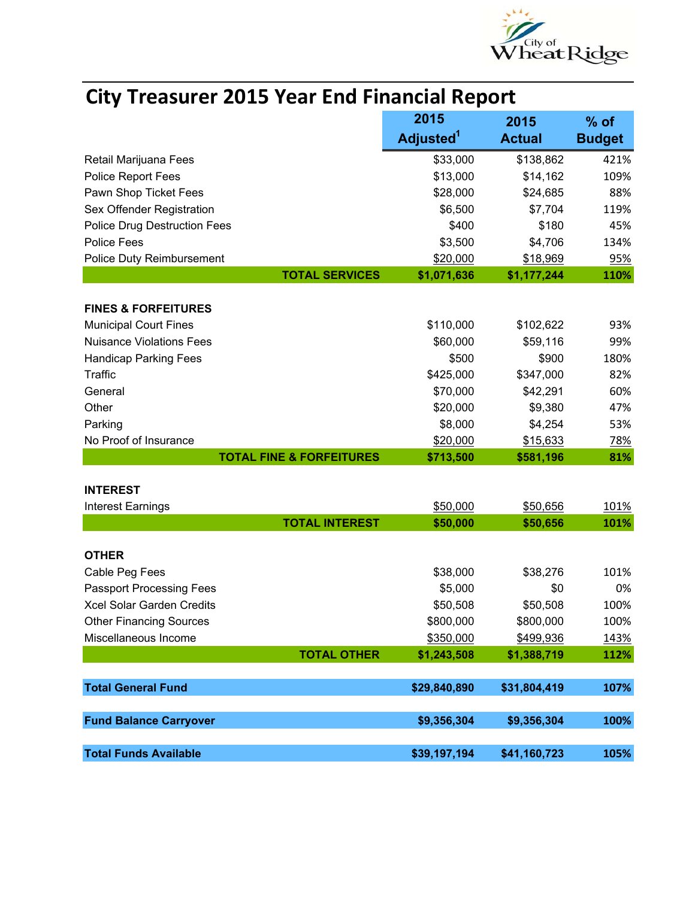

| <b>City Treasurer 2015 Year End Financial Report</b> |                       |                       |               |
|------------------------------------------------------|-----------------------|-----------------------|---------------|
|                                                      | 2015                  | 2015                  | $%$ of        |
|                                                      | Adjusted <sup>1</sup> | <b>Actual</b>         | <b>Budget</b> |
| Retail Marijuana Fees                                | \$33,000              | \$138,862             | 421%          |
| <b>Police Report Fees</b>                            | \$13,000              | \$14,162              | 109%          |
| Pawn Shop Ticket Fees                                | \$28,000              | \$24,685              | 88%           |
| Sex Offender Registration                            | \$6,500               | \$7,704               | 119%          |
| <b>Police Drug Destruction Fees</b>                  | \$400                 | \$180                 | 45%           |
| <b>Police Fees</b>                                   | \$3,500               | \$4,706               | 134%          |
| Police Duty Reimbursement                            | \$20,000              | \$18,969              | 95%           |
| <b>TOTAL SERVICES</b>                                | \$1,071,636           | \$1,177,244           | 110%          |
| <b>FINES &amp; FORFEITURES</b>                       |                       |                       |               |
| <b>Municipal Court Fines</b>                         | \$110,000             | \$102,622             | 93%           |
| <b>Nuisance Violations Fees</b>                      | \$60,000              | \$59,116              | 99%           |
| <b>Handicap Parking Fees</b>                         | \$500                 | \$900                 | 180%          |
| Traffic                                              | \$425,000             | \$347,000             | 82%           |
| General                                              | \$70,000              | \$42,291              | 60%           |
| Other                                                | \$20,000              | \$9,380               | 47%           |
| Parking                                              | \$8,000               | \$4,254               | 53%           |
| No Proof of Insurance                                | \$20,000              |                       |               |
| <b>TOTAL FINE &amp; FORFEITURES</b>                  | \$713,500             | \$15,633<br>\$581,196 | 78%<br>81%    |
|                                                      |                       |                       |               |
| <b>INTEREST</b>                                      |                       |                       |               |
| <b>Interest Earnings</b>                             | \$50,000              | \$50,656              | 101%          |
| <b>TOTAL INTEREST</b>                                | \$50,000              | \$50,656              | 101%          |
| <b>OTHER</b>                                         |                       |                       |               |
| Cable Peg Fees                                       | \$38,000              | \$38,276              | 101%          |
| <b>Passport Processing Fees</b>                      | \$5,000               | \$0                   | 0%            |
| Xcel Solar Garden Credits                            | \$50,508              | \$50,508              | 100%          |
| <b>Other Financing Sources</b>                       | \$800,000             | \$800,000             | 100%          |
| Miscellaneous Income                                 | \$350,000             | \$499,936             | 143%          |
| <b>TOTAL OTHER</b>                                   | \$1,243,508           | \$1,388,719           | 112%          |
| <b>Total General Fund</b>                            | \$29,840,890          | \$31,804,419          | 107%          |
|                                                      |                       |                       |               |
| <b>Fund Balance Carryover</b>                        | \$9,356,304           | \$9,356,304           | 100%          |
| <b>Total Funds Available</b>                         | \$39,197,194          | \$41,160,723          | 105%          |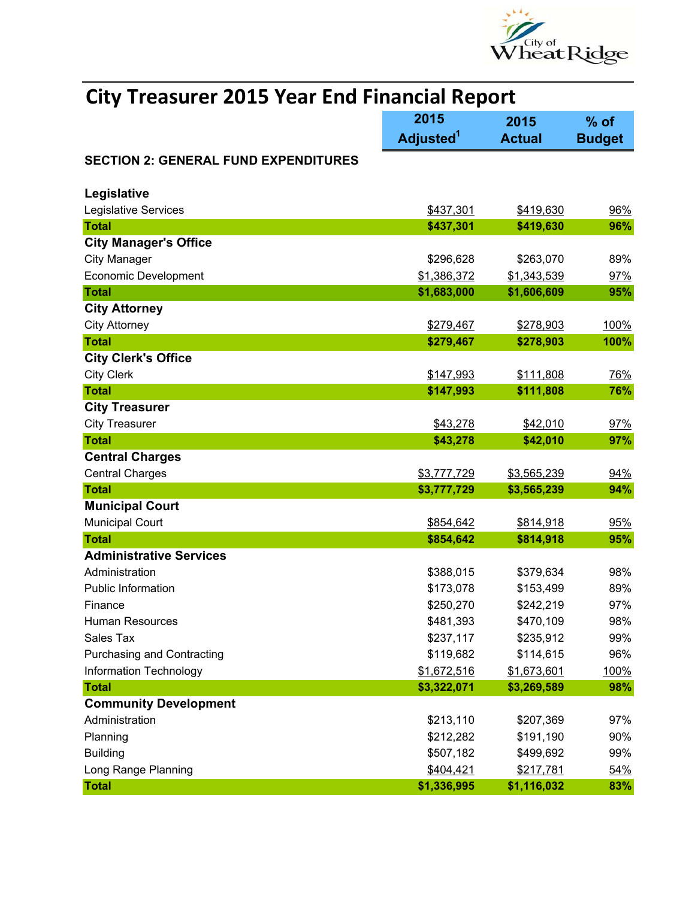

|                                             | 2015                  | 2015          | $%$ of        |
|---------------------------------------------|-----------------------|---------------|---------------|
|                                             | Adjusted <sup>1</sup> | <b>Actual</b> | <b>Budget</b> |
| <b>SECTION 2: GENERAL FUND EXPENDITURES</b> |                       |               |               |
|                                             |                       |               |               |
| Legislative                                 |                       |               |               |
| Legislative Services                        | \$437,301             | \$419,630     | 96%           |
| <b>Total</b>                                | \$437,301             | \$419,630     | 96%           |
| <b>City Manager's Office</b>                |                       |               |               |
| <b>City Manager</b>                         | \$296,628             | \$263,070     | 89%           |
| <b>Economic Development</b>                 | \$1,386,372           | \$1,343,539   | 97%           |
| <b>Total</b>                                | \$1,683,000           | \$1,606,609   | 95%           |
| <b>City Attorney</b>                        |                       |               |               |
| <b>City Attorney</b>                        | \$279,467             | \$278,903     | 100%          |
| <b>Total</b>                                | \$279,467             | \$278,903     | 100%          |
| <b>City Clerk's Office</b>                  |                       |               |               |
| <b>City Clerk</b>                           | \$147,993             | \$111,808     | 76%           |
| <b>Total</b>                                | \$147,993             | \$111,808     | 76%           |
| <b>City Treasurer</b>                       |                       |               |               |
| <b>City Treasurer</b>                       | \$43,278              | \$42,010      | 97%           |
| <b>Total</b>                                | \$43,278              | \$42,010      | 97%           |
| <b>Central Charges</b>                      |                       |               |               |
| <b>Central Charges</b>                      | \$3,777,729           | \$3,565,239   | 94%           |
| <b>Total</b>                                | \$3,777,729           | \$3,565,239   | 94%           |
| <b>Municipal Court</b>                      |                       |               |               |
| <b>Municipal Court</b>                      | \$854,642             | \$814,918     | 95%           |
| <b>Total</b>                                | \$854,642             | \$814,918     | 95%           |
| <b>Administrative Services</b>              |                       |               |               |
| Administration                              | \$388,015             | \$379,634     | 98%           |
| <b>Public Information</b>                   | \$173,078             | \$153,499     | 89%           |
| Finance                                     | \$250,270             | \$242,219     | 97%           |
| Human Resources                             | \$481,393             | \$470,109     | 98%           |
| Sales Tax                                   | \$237,117             | \$235,912     | 99%           |
| <b>Purchasing and Contracting</b>           | \$119,682             | \$114,615     | 96%           |
| Information Technology                      | \$1,672,516           | \$1,673,601   | 100%          |
| <b>Total</b>                                | \$3,322,071           | \$3,269,589   | 98%           |
| <b>Community Development</b>                |                       |               |               |
| Administration                              | \$213,110             | \$207,369     | 97%           |
| Planning                                    | \$212,282             | \$191,190     | 90%           |
| <b>Building</b>                             | \$507,182             | \$499,692     | 99%           |
| Long Range Planning                         | \$404,421             | \$217,781     | 54%           |
| <b>Total</b>                                | \$1,336,995           | \$1,116,032   | 83%           |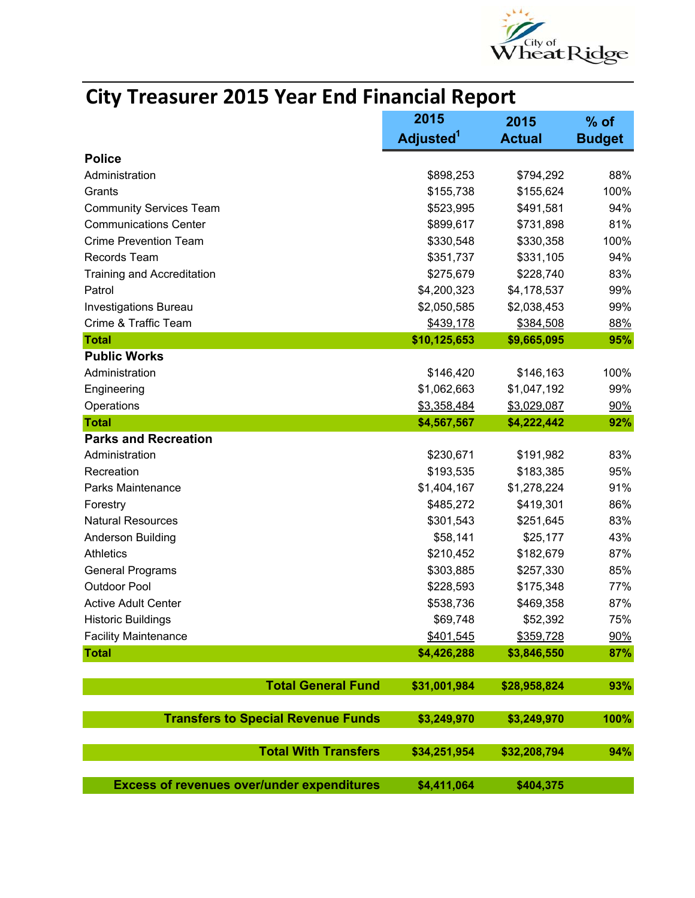

|                                           | 2015                  | 2015          | % of          |
|-------------------------------------------|-----------------------|---------------|---------------|
|                                           | Adjusted <sup>1</sup> | <b>Actual</b> | <b>Budget</b> |
| <b>Police</b>                             |                       |               |               |
| Administration                            | \$898,253             | \$794,292     | 88%           |
| Grants                                    | \$155,738             | \$155,624     | 100%          |
| <b>Community Services Team</b>            | \$523,995             | \$491,581     | 94%           |
| <b>Communications Center</b>              | \$899,617             | \$731,898     | 81%           |
| <b>Crime Prevention Team</b>              | \$330,548             | \$330,358     | 100%          |
| Records Team                              | \$351,737             | \$331,105     | 94%           |
| <b>Training and Accreditation</b>         | \$275,679             | \$228,740     | 83%           |
| Patrol                                    | \$4,200,323           | \$4,178,537   | 99%           |
| Investigations Bureau                     | \$2,050,585           | \$2,038,453   | 99%           |
| Crime & Traffic Team                      | \$439,178             | \$384,508     | 88%           |
| <b>Total</b>                              | \$10,125,653          | \$9,665,095   | 95%           |
| <b>Public Works</b>                       |                       |               |               |
| Administration                            | \$146,420             | \$146,163     | 100%          |
| Engineering                               | \$1,062,663           | \$1,047,192   | 99%           |
| Operations                                | \$3,358,484           | \$3,029,087   | 90%           |
| <b>Total</b>                              | \$4,567,567           | \$4,222,442   | 92%           |
| <b>Parks and Recreation</b>               |                       |               |               |
| Administration                            | \$230,671             | \$191,982     | 83%           |
| Recreation                                | \$193,535             | \$183,385     | 95%           |
| Parks Maintenance                         | \$1,404,167           | \$1,278,224   | 91%           |
| Forestry                                  | \$485,272             | \$419,301     | 86%           |
| <b>Natural Resources</b>                  | \$301,543             | \$251,645     | 83%           |
| <b>Anderson Building</b>                  | \$58,141              | \$25,177      | 43%           |
| <b>Athletics</b>                          | \$210,452             | \$182,679     | 87%           |
| <b>General Programs</b>                   | \$303,885             | \$257,330     | 85%           |
| <b>Outdoor Pool</b>                       | \$228,593             | \$175,348     | 77%           |
| <b>Active Adult Center</b>                | \$538,736             | \$469,358     | 87%           |
| <b>Historic Buildings</b>                 | \$69,748              | \$52,392      | 75%           |
| <b>Facility Maintenance</b>               | \$401,545             | \$359,728     | 90%           |
| <b>Total</b>                              | \$4,426,288           | \$3,846,550   | 87%           |
| <b>Total General Fund</b>                 | \$31,001,984          | \$28,958,824  | 93%           |
|                                           |                       |               |               |
| <b>Transfers to Special Revenue Funds</b> | \$3,249,970           | \$3,249,970   | 100%          |
| <b>Total With Transfers</b>               | \$34,251,954          | \$32,208,794  | 94%           |
|                                           |                       |               |               |

**Excess of revenues over/under expenditures \$4,411,064 \$404,375**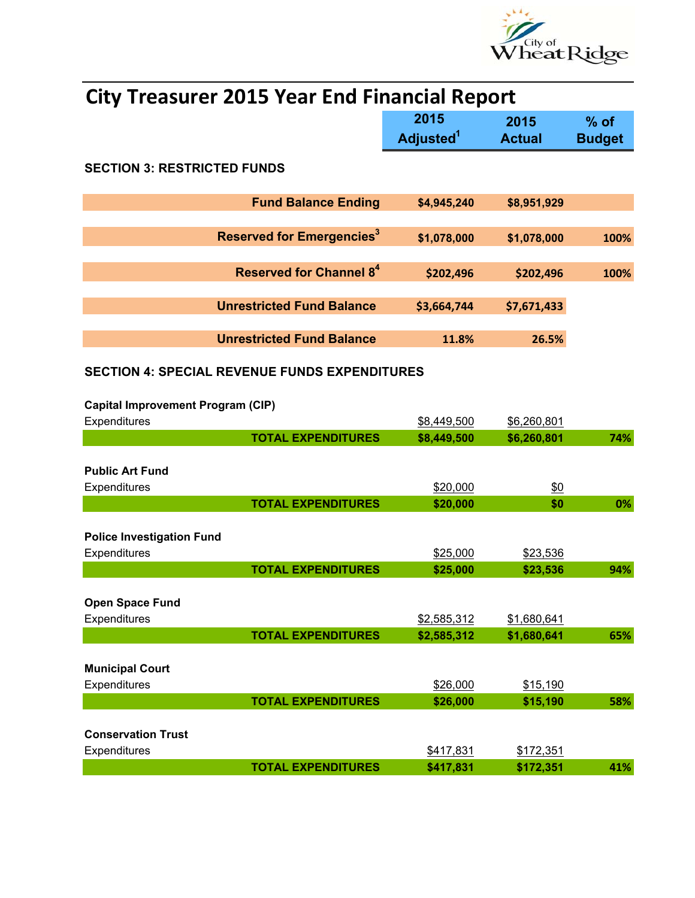

|                                                      | 2015                  | 2015                 | $%$ of        |
|------------------------------------------------------|-----------------------|----------------------|---------------|
|                                                      | Adjusted <sup>1</sup> | <b>Actual</b>        | <b>Budget</b> |
| <b>SECTION 3: RESTRICTED FUNDS</b>                   |                       |                      |               |
| <b>Fund Balance Ending</b>                           | \$4,945,240           | \$8,951,929          |               |
|                                                      |                       |                      |               |
| Reserved for Emergencies <sup>3</sup>                | \$1,078,000           | \$1,078,000          | 100%          |
|                                                      |                       |                      |               |
| <b>Reserved for Channel 84</b>                       | \$202,496             | \$202,496            | 100%          |
|                                                      |                       |                      |               |
| <b>Unrestricted Fund Balance</b>                     | \$3,664,744           | \$7,671,433          |               |
|                                                      |                       |                      |               |
| <b>Unrestricted Fund Balance</b>                     | 11.8%                 | 26.5%                |               |
| <b>SECTION 4: SPECIAL REVENUE FUNDS EXPENDITURES</b> |                       |                      |               |
|                                                      |                       |                      |               |
| <b>Capital Improvement Program (CIP)</b>             |                       |                      |               |
| Expenditures                                         | \$8,449,500           | \$6,260,801          |               |
| <b>TOTAL EXPENDITURES</b>                            | \$8,449,500           | \$6,260,801          | 74%           |
|                                                      |                       |                      |               |
| <b>Public Art Fund</b>                               |                       |                      |               |
| Expenditures<br><b>TOTAL EXPENDITURES</b>            | \$20,000<br>\$20,000  | \$0<br>\$0           | 0%            |
|                                                      |                       |                      |               |
| <b>Police Investigation Fund</b>                     |                       |                      |               |
| Expenditures                                         | \$25,000              | \$23,536             |               |
| <b>TOTAL EXPENDITURES</b>                            | \$25,000              | \$23,536             | 94%           |
|                                                      |                       |                      |               |
| <b>Open Space Fund</b>                               |                       |                      |               |
| Expenditures                                         | \$2,585,312           | \$1,680,641          |               |
| <b>TOTAL EXPENDITURES</b>                            | \$2,585,312           | \$1,680,641          | 65%           |
|                                                      |                       |                      |               |
| <b>Municipal Court</b>                               |                       |                      |               |
| Expenditures<br><b>TOTAL EXPENDITURES</b>            | \$26,000<br>\$26,000  | \$15,190<br>\$15,190 | 58%           |
|                                                      |                       |                      |               |
| <b>Conservation Trust</b>                            |                       |                      |               |
| Expenditures                                         | \$417,831             | \$172,351            |               |
| <b>TOTAL EXPENDITURES</b>                            | \$417,831             | \$172,351            | 41%           |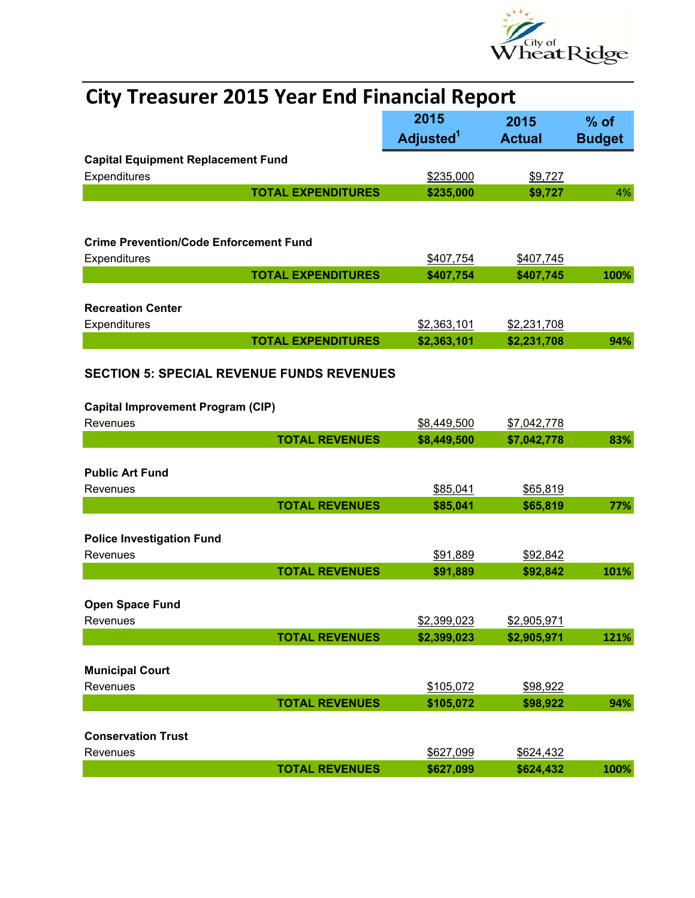

| <b>City Treasurer 2015 Year End Financial Report</b>      |                               |                       |                         |
|-----------------------------------------------------------|-------------------------------|-----------------------|-------------------------|
|                                                           | 2015<br>Adjusted <sup>1</sup> | 2015<br><b>Actual</b> | $%$ of<br><b>Budget</b> |
| <b>Capital Equipment Replacement Fund</b><br>Expenditures | \$235,000                     | \$9,727               |                         |
| <b>TOTAL EXPENDITURES</b>                                 | \$235,000                     | \$9,727               | 4%                      |
| <b>Crime Prevention/Code Enforcement Fund</b>             |                               |                       |                         |
| Expenditures                                              | \$407,754                     | \$407,745             |                         |
| <b>TOTAL EXPENDITURES</b>                                 | \$407,754                     | \$407,745             | 100%                    |
|                                                           |                               |                       |                         |
| <b>Recreation Center</b><br>Expenditures                  | \$2,363,101                   | \$2,231,708           |                         |
| <b>TOTAL EXPENDITURES</b>                                 | \$2,363,101                   | \$2,231,708           | 94%                     |
| <b>SECTION 5: SPECIAL REVENUE FUNDS REVENUES</b>          |                               |                       |                         |
| <b>Capital Improvement Program (CIP)</b>                  |                               |                       |                         |
| Revenues                                                  | \$8,449,500                   | \$7,042,778           |                         |
| <b>TOTAL REVENUES</b>                                     | \$8,449,500                   | \$7,042,778           | 83%                     |
| <b>Public Art Fund</b>                                    |                               |                       |                         |
| Revenues                                                  | \$85,041                      | \$65,819              |                         |
| <b>TOTAL REVENUES</b>                                     | \$85,041                      | \$65,819              | 77%                     |
|                                                           |                               |                       |                         |
| <b>Police Investigation Fund</b>                          |                               |                       |                         |
| Revenues<br><b>TOTAL REVENUES</b>                         | \$91,889<br>\$91,889          | \$92,842<br>\$92,842  | 101%                    |
|                                                           |                               |                       |                         |
| <b>Open Space Fund</b>                                    |                               |                       |                         |
| Revenues                                                  | \$2,399,023                   | \$2,905,971           |                         |
| <b>TOTAL REVENUES</b>                                     | \$2,399,023                   | \$2,905,971           | 121%                    |
| <b>Municipal Court</b>                                    |                               |                       |                         |
| Revenues                                                  | \$105,072                     | \$98,922              |                         |
| <b>TOTAL REVENUES</b>                                     | \$105,072                     | \$98,922              | 94%                     |
|                                                           |                               |                       |                         |
| <b>Conservation Trust</b>                                 |                               |                       |                         |
| Revenues                                                  | \$627,099                     | \$624,432             |                         |
| <b>TOTAL REVENUES</b>                                     | \$627,099                     | \$624,432             | 100%                    |